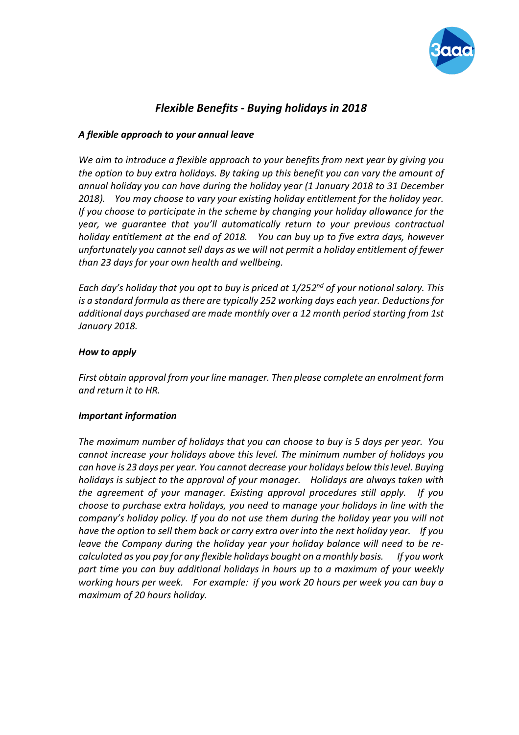

## *Flexible Benefits - Buying holidays in 2018*

### *A flexible approach to your annual leave*

*We aim to introduce a flexible approach to your benefits from next year by giving you the option to buy extra holidays. By taking up this benefit you can vary the amount of annual holiday you can have during the holiday year (1 January 2018 to 31 December 2018). You may choose to vary your existing holiday entitlement for the holiday year. If you choose to participate in the scheme by changing your holiday allowance for the year, we guarantee that you'll automatically return to your previous contractual holiday entitlement at the end of 2018. You can buy up to five extra days, however unfortunately you cannot sell days as we will not permit a holiday entitlement of fewer than 23 days for your own health and wellbeing.*

*Each day's holiday that you opt to buy is priced at 1/252nd of your notional salary. This is a standard formula as there are typically 252 working days each year. Deductions for additional days purchased are made monthly over a 12 month period starting from 1st January 2018.*

#### *How to apply*

*First obtain approval from your line manager. Then please complete an enrolment form and return it to HR.*

#### *Important information*

*The maximum number of holidays that you can choose to buy is 5 days per year. You cannot increase your holidays above this level. The minimum number of holidays you can have is 23 days per year. You cannot decrease your holidays below this level. Buying holidays is subject to the approval of your manager. Holidays are always taken with the agreement of your manager. Existing approval procedures still apply. If you choose to purchase extra holidays, you need to manage your holidays in line with the company's holiday policy. If you do not use them during the holiday year you will not have the option to sell them back or carry extra over into the next holiday year. If you leave the Company during the holiday year your holiday balance will need to be recalculated as you pay for any flexible holidays bought on a monthly basis. If you work part time you can buy additional holidays in hours up to a maximum of your weekly working hours per week. For example: if you work 20 hours per week you can buy a maximum of 20 hours holiday.*